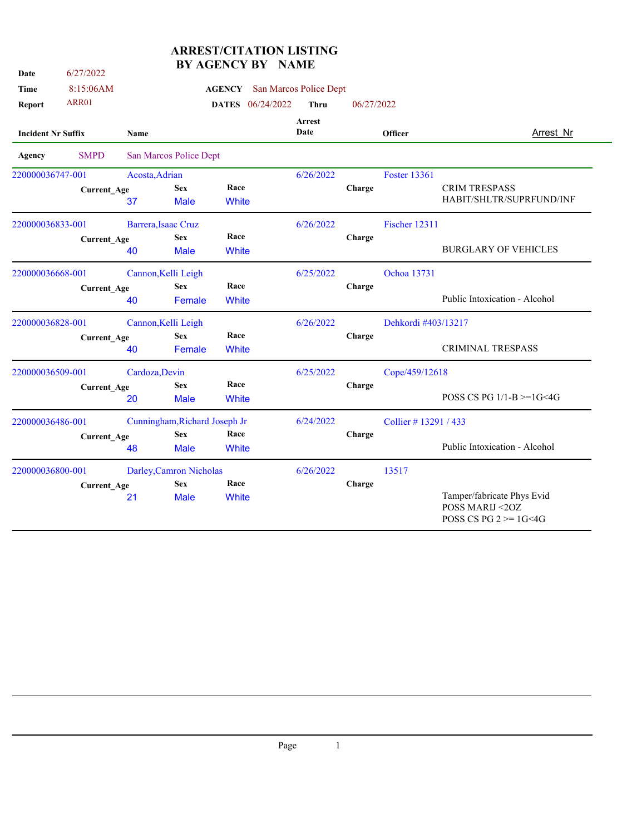| Date                      | 6/27/2022          |                |                               | BY AGENCY BY NAME |                                      |            |                     |                                                                            |
|---------------------------|--------------------|----------------|-------------------------------|-------------------|--------------------------------------|------------|---------------------|----------------------------------------------------------------------------|
| Time                      | 8:15:06AM          |                |                               |                   | <b>AGENCY</b> San Marcos Police Dept |            |                     |                                                                            |
| <b>Report</b>             | <b>ARR01</b>       |                |                               | DATES 06/24/2022  | <b>Thru</b>                          | 06/27/2022 |                     |                                                                            |
| <b>Incident Nr Suffix</b> |                    | Name           |                               |                   | Arrest<br>Date                       |            | Officer             | Arrest Nr                                                                  |
| Agency                    | <b>SMPD</b>        |                | San Marcos Police Dept        |                   |                                      |            |                     |                                                                            |
| 220000036747-001          |                    | Acosta, Adrian |                               |                   | 6/26/2022                            |            | <b>Foster 13361</b> |                                                                            |
|                           | <b>Current_Age</b> |                | <b>Sex</b>                    | Race              |                                      | Charge     |                     | <b>CRIM TRESPASS</b>                                                       |
|                           |                    | 37             | <b>Male</b>                   | White             |                                      |            |                     | HABIT/SHLTR/SUPRFUND/INF                                                   |
| 220000036833-001          |                    |                | Barrera, Isaac Cruz           |                   | 6/26/2022                            |            | Fischer 12311       |                                                                            |
|                           | <b>Current Age</b> |                | <b>Sex</b>                    | Race              |                                      | Charge     |                     |                                                                            |
|                           |                    | 40             | <b>Male</b>                   | White             |                                      |            |                     | <b>BURGLARY OF VEHICLES</b>                                                |
| 220000036668-001          |                    |                | Cannon, Kelli Leigh           |                   | 6/25/2022                            |            | Ochoa 13731         |                                                                            |
|                           | <b>Current_Age</b> |                | <b>Sex</b>                    | Race              |                                      | Charge     |                     |                                                                            |
|                           |                    | 40             | Female                        | White             |                                      |            |                     | Public Intoxication - Alcohol                                              |
| 220000036828-001          |                    |                | Cannon, Kelli Leigh           |                   | 6/26/2022                            |            | Dehkordi #403/13217 |                                                                            |
|                           | <b>Current Age</b> |                | <b>Sex</b>                    | Race              |                                      | Charge     |                     |                                                                            |
|                           |                    | 40             | Female                        | White             |                                      |            |                     | <b>CRIMINAL TRESPASS</b>                                                   |
| 220000036509-001          |                    | Cardoza, Devin |                               |                   | 6/25/2022                            |            | Cope/459/12618      |                                                                            |
|                           | <b>Current_Age</b> |                | <b>Sex</b>                    | Race              |                                      | Charge     |                     |                                                                            |
|                           |                    | 20             | <b>Male</b>                   | White             |                                      |            |                     | POSS CS PG $1/1-B = 1G < 4G$                                               |
| 220000036486-001          |                    |                | Cunningham, Richard Joseph Jr |                   | 6/24/2022                            |            | Collier #13291/433  |                                                                            |
|                           | <b>Current_Age</b> |                | <b>Sex</b>                    | Race              |                                      | Charge     |                     |                                                                            |
|                           |                    | 48             | <b>Male</b>                   | White             |                                      |            |                     | Public Intoxication - Alcohol                                              |
| 220000036800-001          |                    |                | Darley, Camron Nicholas       |                   | 6/26/2022                            |            | 13517               |                                                                            |
|                           | <b>Current_Age</b> |                | <b>Sex</b>                    | Race              |                                      | Charge     |                     |                                                                            |
|                           |                    | 21             | <b>Male</b>                   | White             |                                      |            |                     | Tamper/fabricate Phys Evid<br>POSS MARIJ <20Z<br>POSS CS PG $2 \ge 1$ G<4G |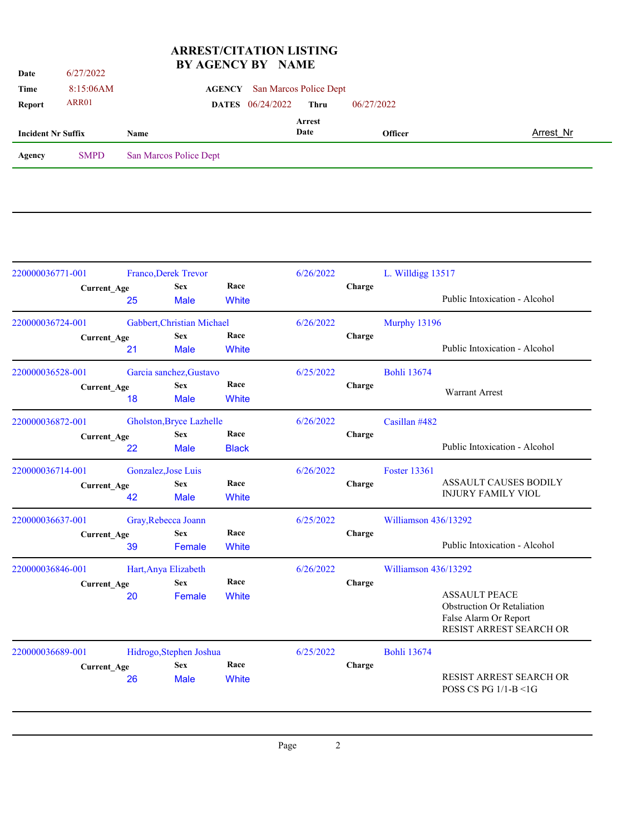| Date                      | 6/27/2022   | DI AGENCI DI NAME      |                         |                                      |                |           |
|---------------------------|-------------|------------------------|-------------------------|--------------------------------------|----------------|-----------|
| Time                      | 8:15:06AM   |                        |                         | <b>AGENCY</b> San Marcos Police Dept |                |           |
| <b>Report</b>             | ARR01       |                        | <b>DATES</b> 06/24/2022 | Thru                                 | 06/27/2022     |           |
| <b>Incident Nr Suffix</b> |             | Name                   |                         | <b>Arrest</b><br>Date                | <b>Officer</b> | Arrest Nr |
| Agency                    | <b>SMPD</b> | San Marcos Police Dept |                         |                                      |                |           |
|                           |             |                        |                         |                                      |                |           |

|                                              |                                                                                                                                          |                                                                                                                                                        |                                                                  | 6/26/2022                                             |        | L. Willdigg 13517    |                                                                                                               |
|----------------------------------------------|------------------------------------------------------------------------------------------------------------------------------------------|--------------------------------------------------------------------------------------------------------------------------------------------------------|------------------------------------------------------------------|-------------------------------------------------------|--------|----------------------|---------------------------------------------------------------------------------------------------------------|
|                                              | 25                                                                                                                                       | <b>Sex</b><br><b>Male</b>                                                                                                                              | Race<br><b>White</b>                                             |                                                       | Charge |                      | Public Intoxication - Alcohol                                                                                 |
|                                              |                                                                                                                                          |                                                                                                                                                        |                                                                  | 6/26/2022                                             |        | Murphy 13196         |                                                                                                               |
|                                              | 21                                                                                                                                       | <b>Male</b>                                                                                                                                            | Race<br>White                                                    |                                                       | Charge |                      | Public Intoxication - Alcohol                                                                                 |
|                                              | Garcia sanchez, Gustavo                                                                                                                  |                                                                                                                                                        |                                                                  | 6/25/2022                                             |        | <b>Bohli 13674</b>   |                                                                                                               |
|                                              | 18                                                                                                                                       | <b>Sex</b><br><b>Male</b>                                                                                                                              | Race<br><b>White</b>                                             |                                                       | Charge |                      | <b>Warrant Arrest</b>                                                                                         |
|                                              | Gholston, Bryce Lazhelle                                                                                                                 |                                                                                                                                                        |                                                                  | 6/26/2022                                             |        | Casillan #482        |                                                                                                               |
|                                              | 22                                                                                                                                       | <b>Sex</b><br><b>Male</b>                                                                                                                              | Race<br><b>Black</b>                                             |                                                       | Charge |                      | Public Intoxication - Alcohol                                                                                 |
| 220000036714-001<br><b>Current_Age</b><br>42 |                                                                                                                                          |                                                                                                                                                        |                                                                  | 6/26/2022                                             |        | <b>Foster 13361</b>  |                                                                                                               |
|                                              |                                                                                                                                          | <b>Sex</b><br><b>Male</b>                                                                                                                              | Race<br><b>White</b>                                             |                                                       | Charge |                      | <b>ASSAULT CAUSES BODILY</b><br><b>INJURY FAMILY VIOL</b>                                                     |
|                                              | Gray, Rebecca Joann                                                                                                                      |                                                                                                                                                        |                                                                  | 6/25/2022                                             |        |                      |                                                                                                               |
|                                              | 39                                                                                                                                       | <b>Sex</b><br>Female                                                                                                                                   | Race<br><b>White</b>                                             |                                                       | Charge |                      | Public Intoxication - Alcohol                                                                                 |
|                                              | Hart, Anya Elizabeth                                                                                                                     |                                                                                                                                                        |                                                                  | 6/26/2022                                             |        | Williamson 436/13292 |                                                                                                               |
|                                              | 20                                                                                                                                       | <b>Sex</b><br>Female                                                                                                                                   | Race<br><b>White</b>                                             |                                                       | Charge |                      | <b>ASSAULT PEACE</b><br><b>Obstruction Or Retaliation</b><br>False Alarm Or Report<br>RESIST ARREST SEARCH OR |
|                                              |                                                                                                                                          |                                                                                                                                                        |                                                                  | 6/25/2022                                             |        | <b>Bohli 13674</b>   |                                                                                                               |
|                                              | 26                                                                                                                                       | <b>Sex</b><br><b>Male</b>                                                                                                                              | Race<br><b>White</b>                                             |                                                       | Charge |                      | RESIST ARREST SEARCH OR<br>POSS CS PG 1/1-B <1G                                                               |
|                                              | 220000036771-001<br>220000036724-001<br>220000036528-001<br>220000036872-001<br>220000036637-001<br>220000036846-001<br>220000036689-001 | <b>Current_Age</b><br><b>Current_Age</b><br><b>Current_Age</b><br><b>Current_Age</b><br><b>Current_Age</b><br><b>Current_Age</b><br><b>Current_Age</b> | <b>Franco, Derek Trevor</b><br><b>Sex</b><br>Gonzalez, Jose Luis | Gabbert, Christian Michael<br>Hidrogo, Stephen Joshua |        |                      | Williamson 436/13292                                                                                          |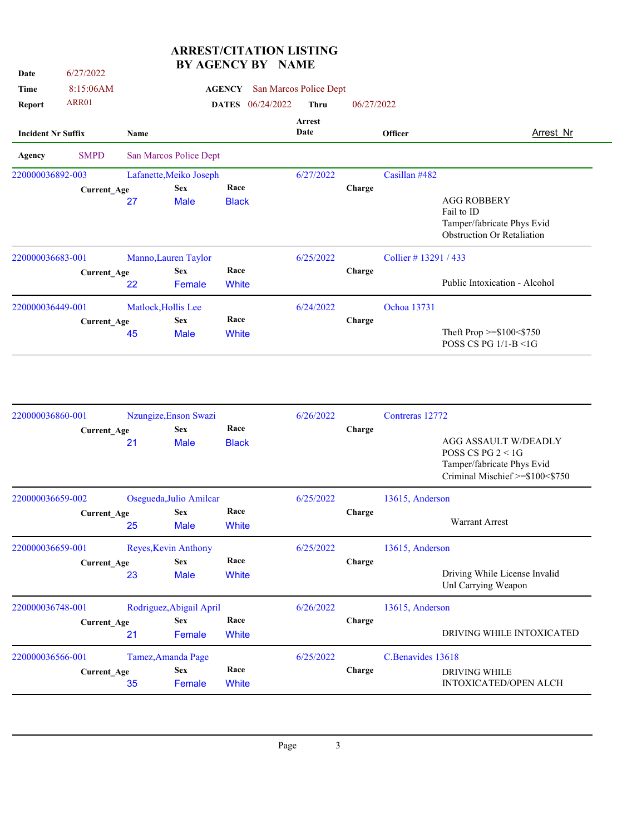| Date                      | 6/27/2022          |                                         |                         | DI INDERVI DI              | ----------            |                |                    |                                                                                                     |  |  |  |
|---------------------------|--------------------|-----------------------------------------|-------------------------|----------------------------|-----------------------|----------------|--------------------|-----------------------------------------------------------------------------------------------------|--|--|--|
| Time                      | 8:15:06AM          | San Marcos Police Dept<br><b>AGENCY</b> |                         |                            |                       |                |                    |                                                                                                     |  |  |  |
| Report                    | ARR01              |                                         |                         | 06/24/2022<br><b>DATES</b> | <b>Thru</b>           | 06/27/2022     |                    |                                                                                                     |  |  |  |
| <b>Incident Nr Suffix</b> |                    | Name                                    |                         |                            | <b>Arrest</b><br>Date | <b>Officer</b> |                    | <b>Arrest Nr</b>                                                                                    |  |  |  |
| Agency                    | <b>SMPD</b>        |                                         | San Marcos Police Dept  |                            |                       |                |                    |                                                                                                     |  |  |  |
| 220000036892-003          |                    |                                         | Lafanette, Meiko Joseph |                            | 6/27/2022             |                | Casillan #482      |                                                                                                     |  |  |  |
|                           | Current_Age        | <b>Sex</b>                              |                         | Race                       |                       | Charge         |                    |                                                                                                     |  |  |  |
|                           |                    | 27                                      | <b>Male</b>             | <b>Black</b>               |                       |                |                    | <b>AGG ROBBERY</b><br>Fail to ID<br>Tamper/fabricate Phys Evid<br><b>Obstruction Or Retaliation</b> |  |  |  |
| 220000036683-001          |                    |                                         | Manno, Lauren Taylor    |                            | 6/25/2022             |                | Collier #13291/433 |                                                                                                     |  |  |  |
|                           | <b>Current Age</b> | 22                                      | <b>Sex</b><br>Female    | Race<br>White              |                       | Charge         |                    | Public Intoxication - Alcohol                                                                       |  |  |  |
| 220000036449-001          |                    |                                         | Matlock, Hollis Lee     |                            | 6/24/2022             |                | Ochoa 13731        |                                                                                                     |  |  |  |
|                           | <b>Current Age</b> |                                         | <b>Sex</b>              | Race                       |                       | Charge         |                    |                                                                                                     |  |  |  |
|                           |                    | 45                                      | <b>Male</b>             | White                      |                       |                |                    | Theft Prop $>=\$100<\$750$<br>POSS CS PG 1/1-B <1G                                                  |  |  |  |

| 220000036860-001   | Nzungize, Enson Swazi    |                           |                      | 6/26/2022 |        | Contreras 12772                                                                                                      |  |
|--------------------|--------------------------|---------------------------|----------------------|-----------|--------|----------------------------------------------------------------------------------------------------------------------|--|
| <b>Current_Age</b> | 21                       | <b>Sex</b><br><b>Male</b> | Race<br><b>Black</b> |           | Charge | <b>AGG ASSAULT W/DEADLY</b><br>POSS CS PG $2 < 1$ G<br>Tamper/fabricate Phys Evid<br>Criminal Mischief >=\$100<\$750 |  |
| 220000036659-002   | Osegueda, Julio Amilcar  |                           |                      | 6/25/2022 |        | 13615, Anderson                                                                                                      |  |
| <b>Current Age</b> | 25                       | <b>Sex</b><br><b>Male</b> | Race<br>White        |           | Charge | <b>Warrant Arrest</b>                                                                                                |  |
| 220000036659-001   | Reyes, Kevin Anthony     |                           |                      | 6/25/2022 |        | 13615, Anderson                                                                                                      |  |
| <b>Current_Age</b> | 23                       | <b>Sex</b><br><b>Male</b> | Race<br>White        |           | Charge | Driving While License Invalid<br>Unl Carrying Weapon                                                                 |  |
| 220000036748-001   | Rodriguez, Abigail April |                           |                      | 6/26/2022 |        | 13615, Anderson                                                                                                      |  |
| <b>Current_Age</b> | 21                       | <b>Sex</b><br>Female      | Race<br>White        |           | Charge | DRIVING WHILE INTOXICATED                                                                                            |  |
| 220000036566-001   | Tamez, Amanda Page       |                           |                      | 6/25/2022 |        | C.Benavides 13618                                                                                                    |  |
| <b>Current_Age</b> | 35                       | <b>Sex</b><br>Female      | Race<br>White        |           | Charge | <b>DRIVING WHILE</b><br><b>INTOXICATED/OPEN ALCH</b>                                                                 |  |